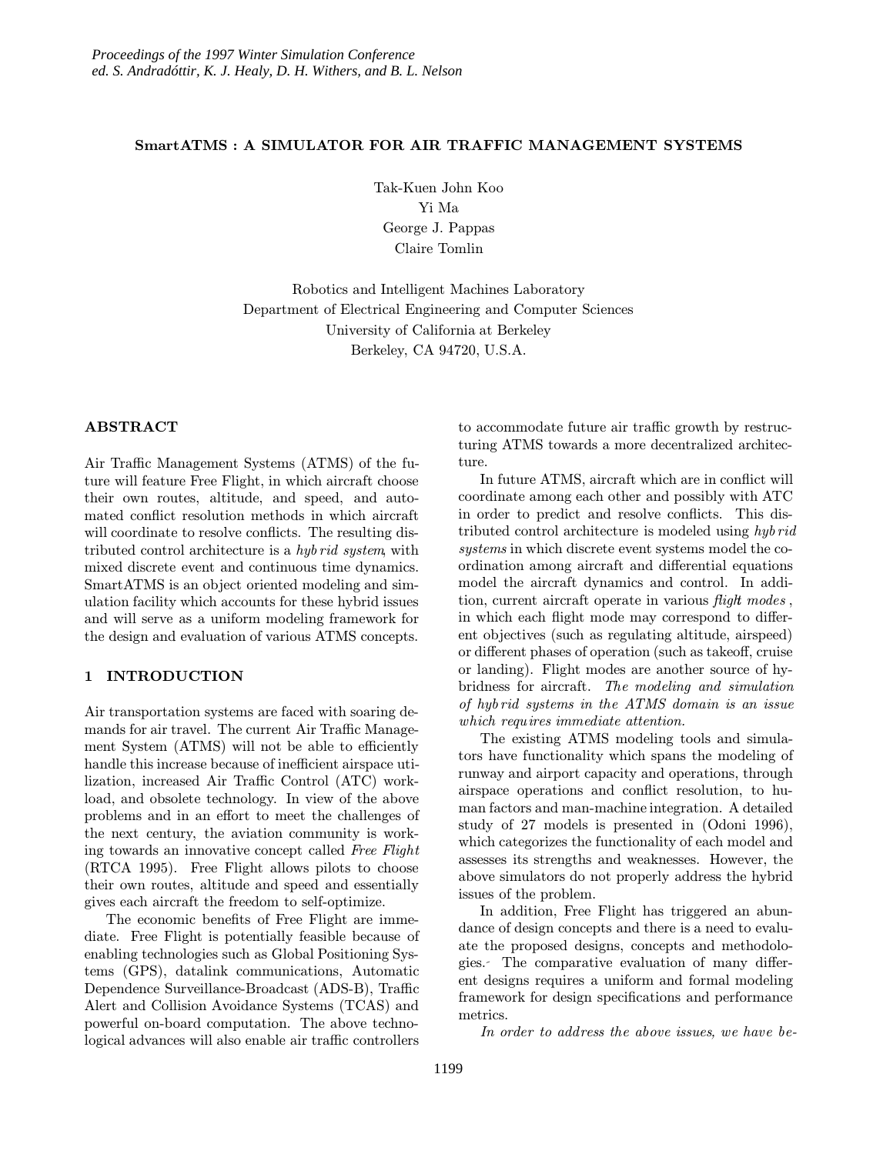## SmartATMS : A SIMULATOR FOR AIR TRAFFIC MANAGEMENT SYSTEMS

Tak-Kuen John Koo Yi Ma George J. Pappas Claire Tomlin

Robotics and Intelligent Machines Laboratory Department of Electrical Engineering and Computer Sciences University of California at Berkeley Berkeley, CA 94720, U.S.A.

## ABSTRACT

Air Traffic Management Systems (ATMS) of the future will feature Free Flight, in which aircraft choose their own routes, altitude, and speed, and automated conflict resolution methods in which aircraft will coordinate to resolve conflicts. The resulting distributed control architecture is a hyb rid system, with mixed discrete event and continuous time dynamics. SmartATMS is an object oriented modeling and simulation facility which accounts for these hybrid issues and will serve as a uniform modeling framework for the design and evaluation of various ATMS concepts.

#### 1 INTRODUCTION

Air transportation systems are faced with soaring demands for air travel. The current Air Traffic Management System (ATMS) will not be able to efficiently handle this increase because of inefficient airspace utilization, increased Air Traffic Control (ATC) workload, and obsolete technology. In view of the above problems and in an effort to meet the challenges of the next century, the aviation community is working towards an innovative concept called Free Flight (RTCA 1995). Free Flight allows pilots to choose their own routes, altitude and speed and essentially gives each aircraft the freedom to self-optimize.

The economic benefits of Free Flight are immediate. Free Flight is potentially feasible because of enabling technologies such as Global Positioning Systems (GPS), datalink communications, Automatic Dependence Surveillance-Broadcast (ADS-B), Traffic Alert and Collision Avoidance Systems (TCAS) and powerful on-board computation. The above technological advances will also enable air traffic controllers

to accommodate future air traffic growth by restructuring ATMS towards a more decentralized architecture.

In future ATMS, aircraft which are in conflict will coordinate among each other and possibly with ATC in order to predict and resolve conflicts. This distributed control architecture is modeled using hyb rid systems in which discrete event systems model the coordination among aircraft and differential equations model the aircraft dynamics and control. In addition, current aircraft operate in various *flight modes*, in which each flight mode may correspond to different objectives (such as regulating altitude, airspeed) or different phases of operation (such as takeoff, cruise or landing). Flight modes are another source of hybridness for aircraft. The modeling and simulation of hyb rid systems in the ATMS domain is an issue which requires immediate attention.

The existing ATMS modeling tools and simulators have functionality which spans the modeling of runway and airport capacity and operations, through airspace operations and conflict resolution, to human factors and man-machine integration. A detailed study of 27 models is presented in (Odoni 1996), which categorizes the functionality of each model and assesses its strengths and weaknesses. However, the above simulators do not properly address the hybrid issues of the problem.

In addition, Free Flight has triggered an abundance of design concepts and there is a need to evaluate the proposed designs, concepts and methodologies. The comparative evaluation of many different designs requires a uniform and formal modeling framework for design specifications and performance metrics.

In order to address the above issues, we have be-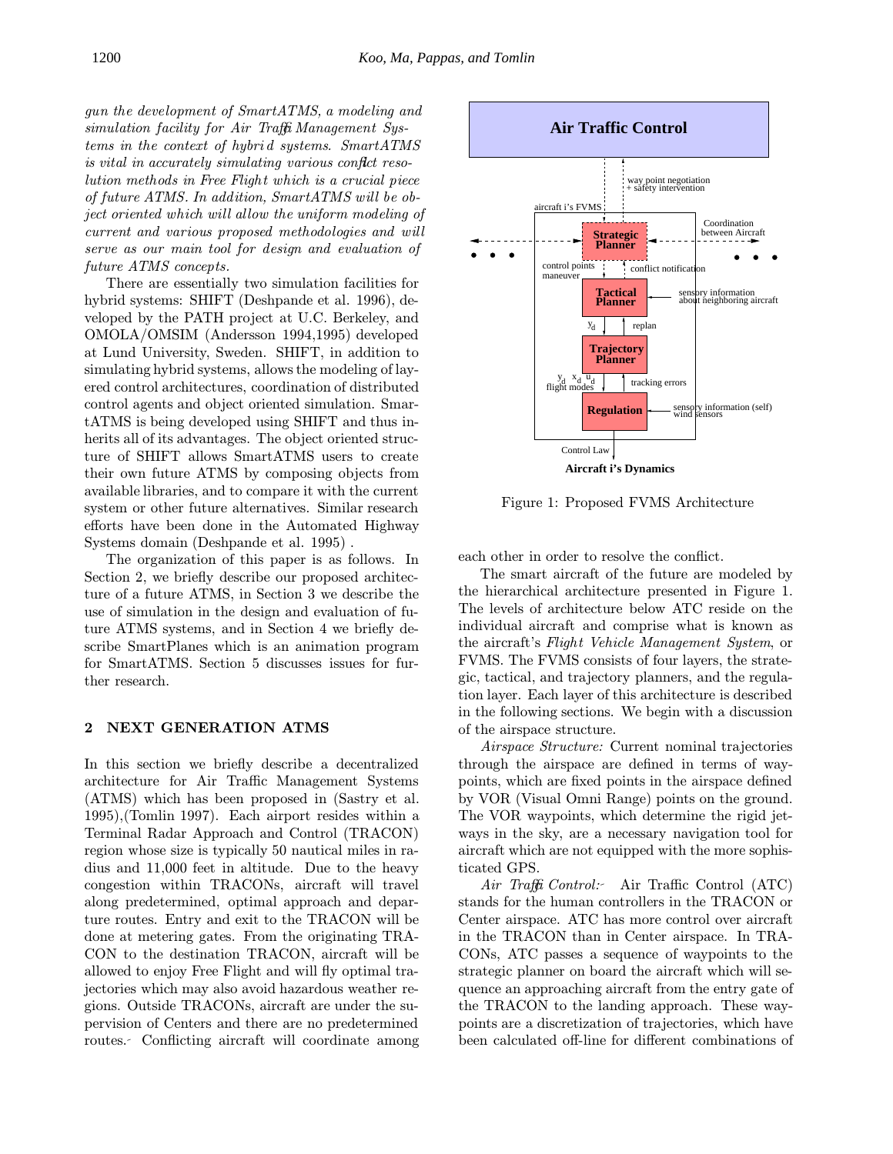gun the development of SmartATMS, a modeling and simulation facility for Air Traffic Management Systems in the context of hybri d systems. SmartATMS is vital in accurately simulating various conflict resolution methods in Free Flight which is a crucial piece of future ATMS. In addition, SmartATMS will be object oriented which will allow the uniform modeling of current and various proposed methodologies and will serve as our main tool for design and evaluation of future ATMS concepts.

There are essentially two simulation facilities for hybrid systems: SHIFT (Deshpande et al. 1996), developed by the PATH project at U.C. Berkeley, and OMOLA/OMSIM (Andersson 1994,1995) developed at Lund University, Sweden. SHIFT, in addition to simulating hybrid systems, allows the modeling of layered control architectures, coordination of distributed control agents and object oriented simulation. SmartATMS is being developed using SHIFT and thus inherits all of its advantages. The object oriented structure of SHIFT allows SmartATMS users to create their own future ATMS by composing objects from available libraries, and to compare it with the current system or other future alternatives. Similar research efforts have been done in the Automated Highway Systems domain (Deshpande et al. 1995) .

The organization of this paper is as follows. In Section 2, we briefly describe our proposed architecture of a future ATMS, in Section 3 we describe the use of simulation in the design and evaluation of future ATMS systems, and in Section 4 we briefly describe SmartPlanes which is an animation program for SmartATMS. Section 5 discusses issues for further research.

## 2 NEXT GENERATION ATMS

In this section we briefly describe a decentralized architecture for Air Traffic Management Systems (ATMS) which has been proposed in (Sastry et al. 1995),(Tomlin 1997). Each airport resides within a Terminal Radar Approach and Control (TRACON) region whose size is typically 50 nautical miles in radius and 11,000 feet in altitude. Due to the heavy congestion within TRACONs, aircraft will travel along predetermined, optimal approach and departure routes. Entry and exit to the TRACON will be done at metering gates. From the originating TRA-CON to the destination TRACON, aircraft will be allowed to enjoy Free Flight and will fly optimal trajectories which may also avoid hazardous weather regions. Outside TRACONs, aircraft are under the supervision of Centers and there are no predetermined routes. Conflicting aircraft will coordinate among



Figure 1: Proposed FVMS Architecture

each other in order to resolve the conflict.

The smart aircraft of the future are modeled by the hierarchical architecture presented in Figure 1. The levels of architecture below ATC reside on the individual aircraft and comprise what is known as the aircraft's Flight Vehicle Management System, or FVMS. The FVMS consists of four layers, the strategic, tactical, and trajectory planners, and the regulation layer. Each layer of this architecture is described in the following sections. We begin with a discussion of the airspace structure.

Airspace Structure: Current nominal trajectories through the airspace are defined in terms of waypoints, which are fixed points in the airspace defined by VOR (Visual Omni Range) points on the ground. The VOR waypoints, which determine the rigid jetways in the sky, are a necessary navigation tool for aircraft which are not equipped with the more sophisticated GPS.

Air Traffic Control: Air Traffic Control (ATC) stands for the human controllers in the TRACON or Center airspace. ATC has more control over aircraft in the TRACON than in Center airspace. In TRA-CONs, ATC passes a sequence of waypoints to the strategic planner on board the aircraft which will sequence an approaching aircraft from the entry gate of the TRACON to the landing approach. These waypoints are a discretization of trajectories, which have been calculated off-line for different combinations of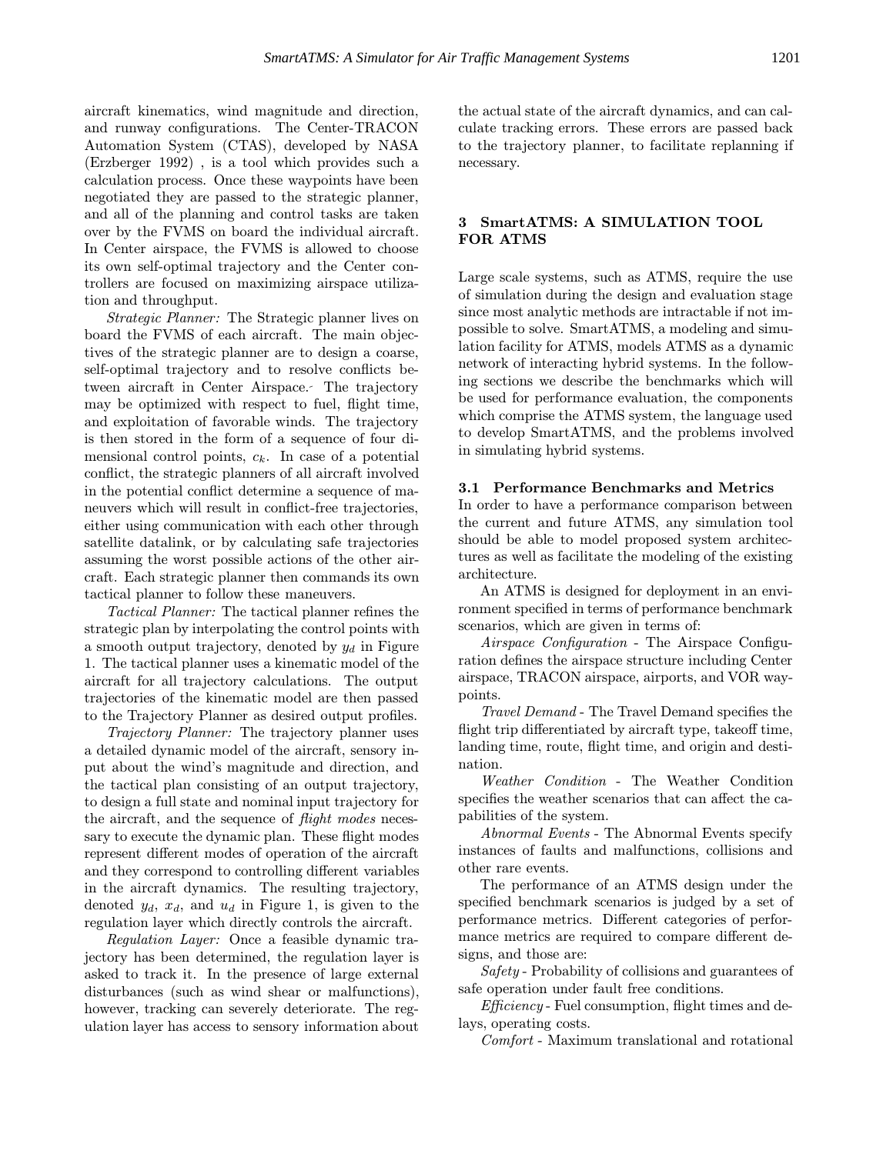aircraft kinematics, wind magnitude and direction, and runway configurations. The Center-TRACON Automation System (CTAS), developed by NASA (Erzberger 1992) , is a tool which provides such a calculation process. Once these waypoints have been negotiated they are passed to the strategic planner, and all of the planning and control tasks are taken over by the FVMS on board the individual aircraft. In Center airspace, the FVMS is allowed to choose its own self-optimal trajectory and the Center controllers are focused on maximizing airspace utilization and throughput.

Strategic Planner: The Strategic planner lives on board the FVMS of each aircraft. The main objectives of the strategic planner are to design a coarse, self-optimal trajectory and to resolve conflicts between aircraft in Center Airspace. The trajectory may be optimized with respect to fuel, flight time, and exploitation of favorable winds. The trajectory is then stored in the form of a sequence of four dimensional control points,  $c_k$ . In case of a potential conflict, the strategic planners of all aircraft involved in the potential conflict determine a sequence of maneuvers which will result in conflict-free trajectories, either using communication with each other through satellite datalink, or by calculating safe trajectories assuming the worst possible actions of the other aircraft. Each strategic planner then commands its own tactical planner to follow these maneuvers.

Tactical Planner: The tactical planner refines the strategic plan by interpolating the control points with a smooth output trajectory, denoted by  $y_d$  in Figure 1. The tactical planner uses a kinematic model of the aircraft for all trajectory calculations. The output trajectories of the kinematic model are then passed to the Trajectory Planner as desired output profiles.

Trajectory Planner: The trajectory planner uses a detailed dynamic model of the aircraft, sensory input about the wind's magnitude and direction, and the tactical plan consisting of an output trajectory, to design a full state and nominal input trajectory for the aircraft, and the sequence of *flight modes* necessary to execute the dynamic plan. These flight modes represent different modes of operation of the aircraft and they correspond to controlling different variables in the aircraft dynamics. The resulting trajectory, denoted  $y_d$ ,  $x_d$ , and  $u_d$  in Figure 1, is given to the regulation layer which directly controls the aircraft.

Regulation Layer: Once a feasible dynamic trajectory has been determined, the regulation layer is asked to track it. In the presence of large external disturbances (such as wind shear or malfunctions), however, tracking can severely deteriorate. The regulation layer has access to sensory information about

the actual state of the aircraft dynamics, and can calculate tracking errors. These errors are passed back to the trajectory planner, to facilitate replanning if necessary.

# 3 SmartATMS: A SIMULATION TOOL FOR ATMS

Large scale systems, such as ATMS, require the use of simulation during the design and evaluation stage since most analytic methods are intractable if not impossible to solve. SmartATMS, a modeling and simulation facility for ATMS, models ATMS as a dynamic network of interacting hybrid systems. In the following sections we describe the benchmarks which will be used for performance evaluation, the components which comprise the ATMS system, the language used to develop SmartATMS, and the problems involved in simulating hybrid systems.

#### 3.1 Performance Benchmarks and Metrics

In order to have a performance comparison between the current and future ATMS, any simulation tool should be able to model proposed system architectures as well as facilitate the modeling of the existing architecture.

An ATMS is designed for deployment in an environment specified in terms of performance benchmark scenarios, which are given in terms of:

Airspace Configuration - The Airspace Configuration defines the airspace structure including Center airspace, TRACON airspace, airports, and VOR waypoints.

Travel Demand - The Travel Demand specifies the flight trip differentiated by aircraft type, takeoff time, landing time, route, flight time, and origin and destination.

Weather Condition - The Weather Condition specifies the weather scenarios that can affect the capabilities of the system.

Abnormal Events - The Abnormal Events specify instances of faults and malfunctions, collisions and other rare events.

The performance of an ATMS design under the specified benchmark scenarios is judged by a set of performance metrics. Different categories of performance metrics are required to compare different designs, and those are:

Safety - Probability of collisions and guarantees of safe operation under fault free conditions.

*Efficiency* - Fuel consumption, flight times and delays, operating costs.

Comfort - Maximum translational and rotational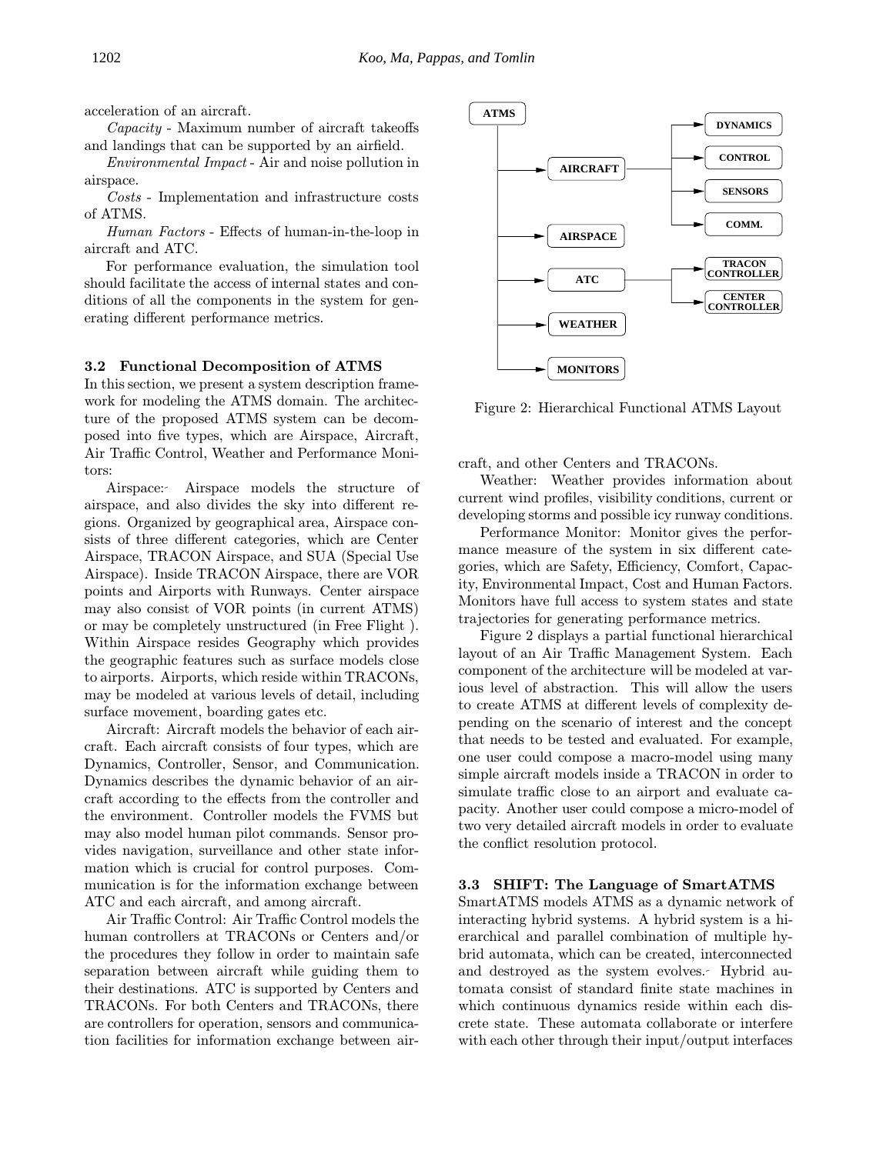acceleration of an aircraft.

Capacity - Maximum number of aircraft takeoffs and landings that can be supported by an airfield.

Environmental Impact - Air and noise pollution in airspace.

Costs - Implementation and infrastructure costs of ATMS.

Human Factors - Effects of human-in-the-loop in aircraft and ATC.

For performance evaluation, the simulation tool should facilitate the access of internal states and conditions of all the components in the system for generating different performance metrics.

## 3.2 Functional Decomposition of ATMS

In this section, we present a system description framework for modeling the ATMS domain. The architecture of the proposed ATMS system can be decomposed into five types, which are Airspace, Aircraft, Air Traffic Control, Weather and Performance Monitors:

Airspace: Airspace models the structure of airspace, and also divides the sky into different regions. Organized by geographical area, Airspace consists of three different categories, which are Center Airspace, TRACON Airspace, and SUA (Special Use Airspace). Inside TRACON Airspace, there are VOR points and Airports with Runways. Center airspace may also consist of VOR points (in current ATMS) or may be completely unstructured (in Free Flight ). Within Airspace resides Geography which provides the geographic features such as surface models close to airports. Airports, which reside within TRACONs, may be modeled at various levels of detail, including surface movement, boarding gates etc.

Aircraft: Aircraft models the behavior of each aircraft. Each aircraft consists of four types, which are Dynamics, Controller, Sensor, and Communication. Dynamics describes the dynamic behavior of an aircraft according to the effects from the controller and the environment. Controller models the FVMS but may also model human pilot commands. Sensor provides navigation, surveillance and other state information which is crucial for control purposes. Communication is for the information exchange between ATC and each aircraft, and among aircraft.

Air Traffic Control: Air Traffic Control models the human controllers at TRACONs or Centers and/or the procedures they follow in order to maintain safe separation between aircraft while guiding them to their destinations. ATC is supported by Centers and TRACONs. For both Centers and TRACONs, there are controllers for operation, sensors and communication facilities for information exchange between air-



Figure 2: Hierarchical Functional ATMS Layout

craft, and other Centers and TRACONs.

Weather: Weather provides information about current wind profiles, visibility conditions, current or developing storms and possible icy runway conditions.

Performance Monitor: Monitor gives the performance measure of the system in six different categories, which are Safety, Efficiency, Comfort, Capacity, Environmental Impact, Cost and Human Factors. Monitors have full access to system states and state trajectories for generating performance metrics.

Figure 2 displays a partial functional hierarchical layout of an Air Traffic Management System. Each component of the architecture will be modeled at various level of abstraction. This will allow the users to create ATMS at different levels of complexity depending on the scenario of interest and the concept that needs to be tested and evaluated. For example, one user could compose a macro-model using many simple aircraft models inside a TRACON in order to simulate traffic close to an airport and evaluate capacity. Another user could compose a micro-model of two very detailed aircraft models in order to evaluate the conflict resolution protocol.

## 3.3 SHIFT: The Language of SmartATMS

SmartATMS models ATMS as a dynamic network of interacting hybrid systems. A hybrid system is a hierarchical and parallel combination of multiple hybrid automata, which can be created, interconnected and destroyed as the system evolves. Hybrid automata consist of standard finite state machines in which continuous dynamics reside within each discrete state. These automata collaborate or interfere with each other through their input/output interfaces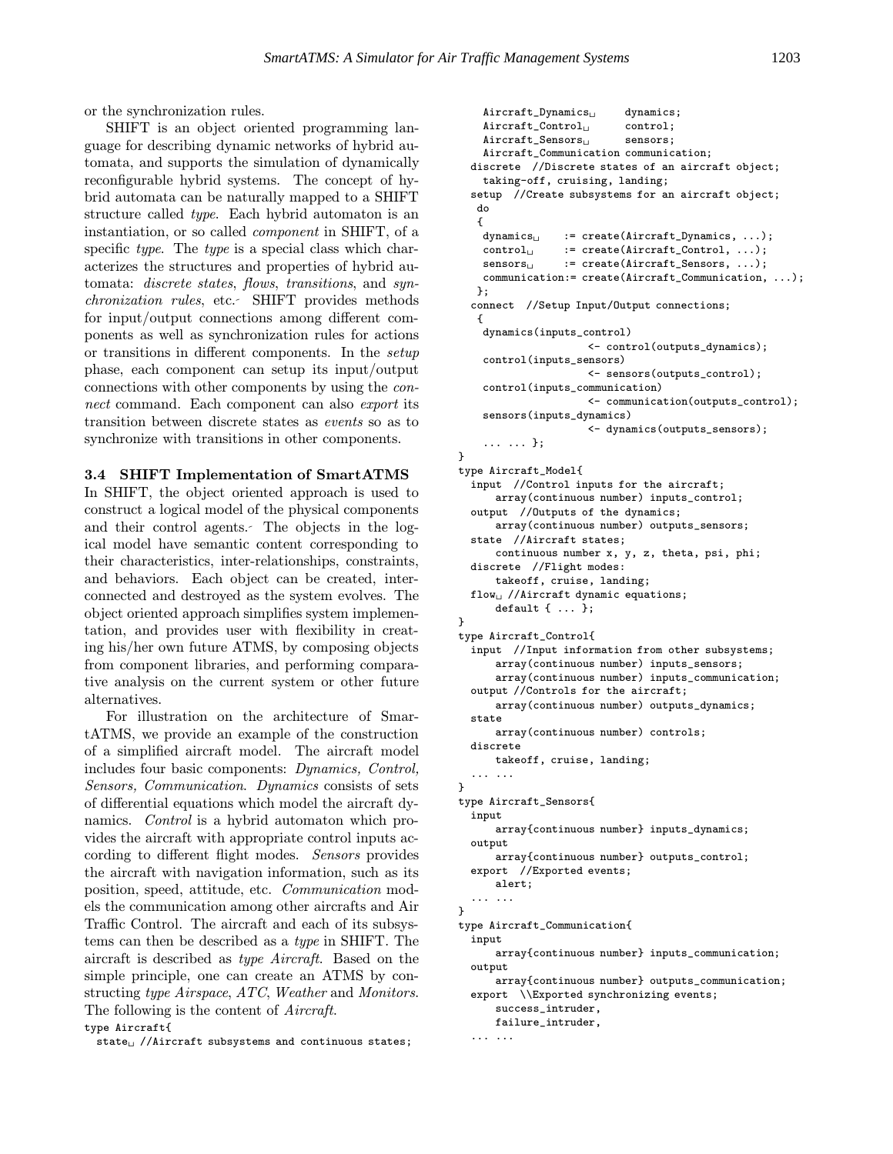}

or the synchronization rules.

SHIFT is an object oriented programming language for describing dynamic networks of hybrid automata, and supports the simulation of dynamically reconfigurable hybrid systems. The concept of hybrid automata can be naturally mapped to a SHIFT structure called type. Each hybrid automaton is an instantiation, or so called component in SHIFT, of a specific type. The type is a special class which characterizes the structures and properties of hybrid automata: discrete states, flows, transitions, and synchronization rules, etc. SHIFT provides methods for input/output connections among different components as well as synchronization rules for actions or transitions in different components. In the setup phase, each component can setup its input/output connections with other components by using the connect command. Each component can also export its transition between discrete states as events so as to synchronize with transitions in other components.

#### 3.4 SHIFT Implementation of SmartATMS

In SHIFT, the object oriented approach is used to construct a logical model of the physical components and their control agents. The objects in the logical model have semantic content corresponding to their characteristics, inter-relationships, constraints, and behaviors. Each object can be created, interconnected and destroyed as the system evolves. The object oriented approach simplifies system implementation, and provides user with flexibility in creating his/her own future ATMS, by composing objects from component libraries, and performing comparative analysis on the current system or other future alternatives.

For illustration on the architecture of SmartATMS, we provide an example of the construction of a simplified aircraft model. The aircraft model includes four basic components: Dynamics, Control, Sensors, Communication. Dynamics consists of sets of differential equations which model the aircraft dynamics. Control is a hybrid automaton which provides the aircraft with appropriate control inputs according to different flight modes. Sensors provides the aircraft with navigation information, such as its position, speed, attitude, etc. Communication models the communication among other aircrafts and Air Traffic Control. The aircraft and each of its subsystems can then be described as a type in SHIFT. The aircraft is described as type Aircraft. Based on the simple principle, one can create an ATMS by constructing type Airspace, ATC, Weather and Monitors. The following is the content of Aircraft. type Aircraft{

state $\cup$  //Aircraft subsystems and continuous states;

```
Aircraft_Dynamics<sub>U</sub> dynamics;
    Aircraft_Control<sub>1</sub> control;
    Aircraft\_Sensors_{\Box} sensors;
    Aircraft_Communication communication;
  discrete //Discrete states of an aircraft object;
    taking-off, cruising, landing;
  setup //Create subsystems for an aircraft object;
  do
   {<br>dynamics<sub>⊔</sub>
                 := create(Aircraft_Dynamics, ...);
    control<sub>U</sub> := create(Aircraft_Control, ...);
    {\tt sensors}_\sqcup \qquad :={\tt create}({\tt Aircraft\_Sensors},\ \ldots)\,;communication:= create(Aircraft_Communication, ...);
   };
  connect //Setup Input/Output connections;
   {
    dynamics(inputs_control)
                      <- control(outputs_dynamics);
    control(inputs_sensors)
                      <- sensors(outputs_control);
    control(inputs_communication)
                      <- communication(outputs_control);
    sensors(inputs_dynamics)
                      <- dynamics(outputs_sensors);
    ... ... };
}
type Aircraft_Model{
  input //Control inputs for the aircraft;
      array(continuous number) inputs_control;
  output //Outputs of the dynamics;
      array(continuous number) outputs_sensors;
  state //Aircraft states;
      continuous number x, y, z, theta, psi, phi;
  discrete //Flight modes:
      takeoff, cruise, landing;
  flow_{\cup} //Aircraft dynamic equations;
      default { ... };
type Aircraft_Control{
  input //Input information from other subsystems;
      array(continuous number) inputs_sensors;
      array(continuous number) inputs_communication;
  output //Controls for the aircraft;
      array(continuous number) outputs_dynamics;
  state
      array(continuous number) controls;
  discrete
      takeoff, cruise, landing;
  ... ...
}
type Aircraft_Sensors{
  input
      array{continuous number} inputs_dynamics;
  output
      array{continuous number} outputs_control;
  export //Exported events;
      alert;
  ... ...
}
type Aircraft_Communication{
  input
      array{continuous number} inputs_communication;
  output
      array{continuous number} outputs_communication;
  export \\Exported synchronizing events;
      success_intruder,
      failure_intruder,
  ... ...
```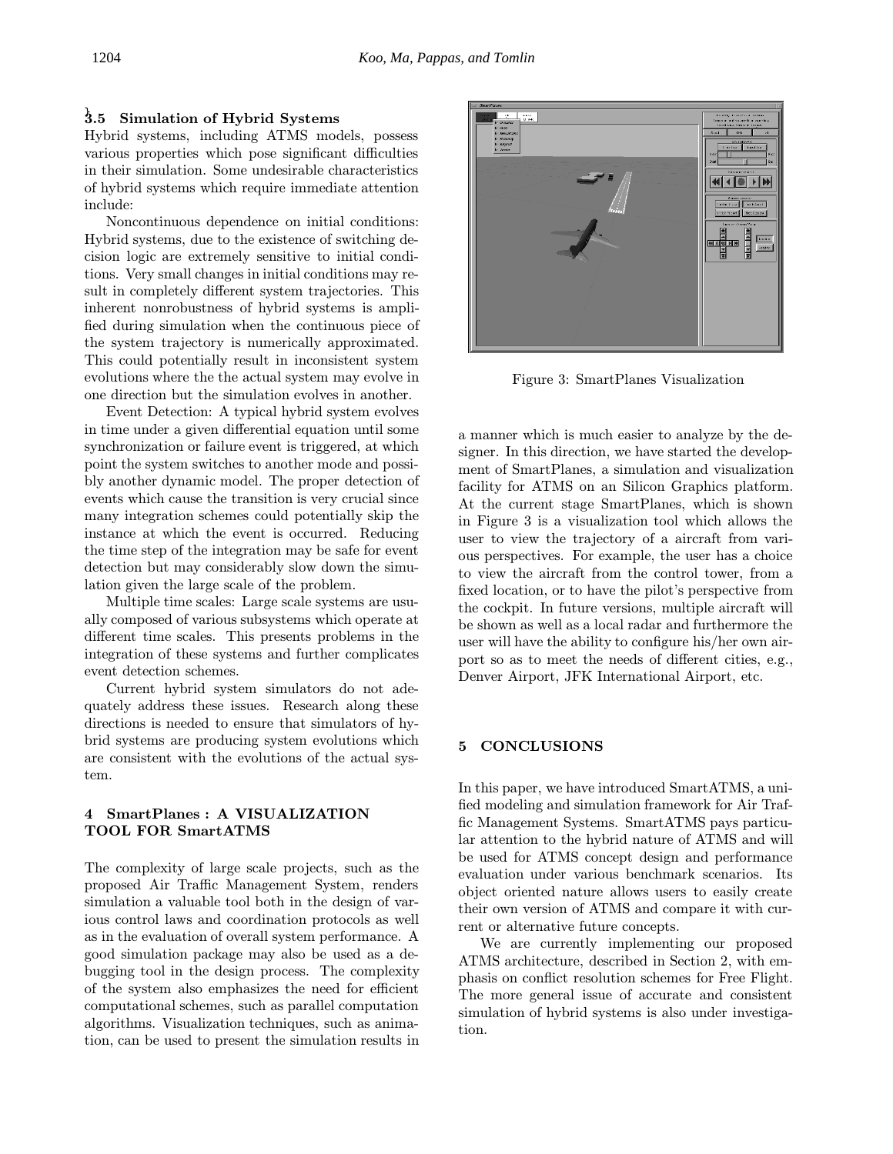# $\stackrel{1}{3}.5$  Simulation of Hybrid Systems

Hybrid systems, including ATMS models, possess various properties which pose significant difficulties in their simulation. Some undesirable characteristics of hybrid systems which require immediate attention include:

Noncontinuous dependence on initial conditions: Hybrid systems, due to the existence of switching decision logic are extremely sensitive to initial conditions. Very small changes in initial conditions may result in completely different system trajectories. This inherent nonrobustness of hybrid systems is amplified during simulation when the continuous piece of the system trajectory is numerically approximated. This could potentially result in inconsistent system evolutions where the the actual system may evolve in one direction but the simulation evolves in another.

Event Detection: A typical hybrid system evolves in time under a given differential equation until some synchronization or failure event is triggered, at which point the system switches to another mode and possibly another dynamic model. The proper detection of events which cause the transition is very crucial since many integration schemes could potentially skip the instance at which the event is occurred. Reducing the time step of the integration may be safe for event detection but may considerably slow down the simulation given the large scale of the problem.

Multiple time scales: Large scale systems are usually composed of various subsystems which operate at different time scales. This presents problems in the integration of these systems and further complicates event detection schemes.

Current hybrid system simulators do not adequately address these issues. Research along these directions is needed to ensure that simulators of hybrid systems are producing system evolutions which are consistent with the evolutions of the actual system.

## 4 SmartPlanes : A VISUALIZATION TOOL FOR SmartATMS

The complexity of large scale projects, such as the proposed Air Traffic Management System, renders simulation a valuable tool both in the design of various control laws and coordination protocols as well as in the evaluation of overall system performance. A good simulation package may also be used as a debugging tool in the design process. The complexity of the system also emphasizes the need for efficient computational schemes, such as parallel computation algorithms. Visualization techniques, such as animation, can be used to present the simulation results in



Figure 3: SmartPlanes Visualization

a manner which is much easier to analyze by the designer. In this direction, we have started the development of SmartPlanes, a simulation and visualization facility for ATMS on an Silicon Graphics platform. At the current stage SmartPlanes, which is shown in Figure 3 is a visualization tool which allows the user to view the trajectory of a aircraft from various perspectives. For example, the user has a choice to view the aircraft from the control tower, from a fixed location, or to have the pilot's perspective from the cockpit. In future versions, multiple aircraft will be shown as well as a local radar and furthermore the user will have the ability to configure his/her own airport so as to meet the needs of different cities, e.g., Denver Airport, JFK International Airport, etc.

## 5 CONCLUSIONS

In this paper, we have introduced SmartATMS, a unified modeling and simulation framework for Air Traffic Management Systems. SmartATMS pays particular attention to the hybrid nature of ATMS and will be used for ATMS concept design and performance evaluation under various benchmark scenarios. Its object oriented nature allows users to easily create their own version of ATMS and compare it with current or alternative future concepts.

We are currently implementing our proposed ATMS architecture, described in Section 2, with emphasis on conflict resolution schemes for Free Flight. The more general issue of accurate and consistent simulation of hybrid systems is also under investigation.